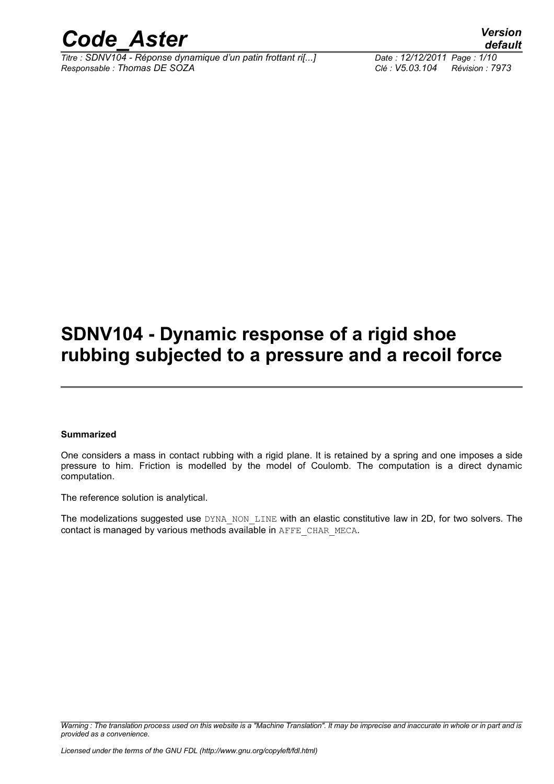

*Titre : SDNV104 - Réponse dynamique d'un patin frottant ri[...] Date : 12/12/2011 Page : 1/10 Responsable : Thomas DE SOZA Clé : V5.03.104 Révision : 7973*

## **SDNV104 - Dynamic response of a rigid shoe rubbing subjected to a pressure and a recoil force**

#### **Summarized**

One considers a mass in contact rubbing with a rigid plane. It is retained by a spring and one imposes a side pressure to him. Friction is modelled by the model of Coulomb. The computation is a direct dynamic computation.

The reference solution is analytical.

The modelizations suggested use DYNA\_NON\_LINE with an elastic constitutive law in 2D, for two solvers. The contact is managed by various methods available in AFFE\_CHAR\_MECA.

*Warning : The translation process used on this website is a "Machine Translation". It may be imprecise and inaccurate in whole or in part and is provided as a convenience.*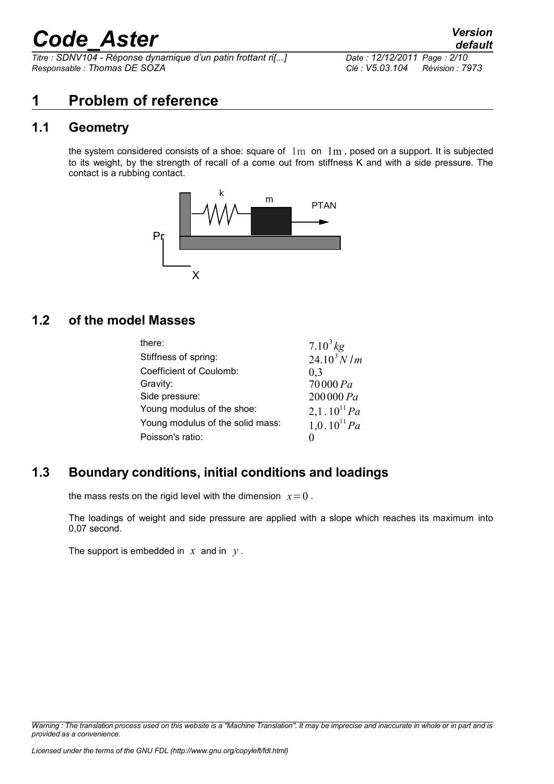*Titre : SDNV104 - Réponse dynamique d'un patin frottant ri[...] Date : 12/12/2011 Page : 2/10 Responsable : Thomas DE SOZA Clé : V5.03.104 Révision : 7973*

## **1 Problem of reference**

## **1.1 Geometry**

the system considered consists of a shoe: square of  $1m$  on  $1m$ , posed on a support. It is subjected to its weight, by the strength of recall of a come out from stiffness K and with a side pressure. The contact is a rubbing contact.



#### **1.2 of the model Masses**

| there:                           | $7.10^{3}$ kg    |
|----------------------------------|------------------|
| Stiffness of spring:             | $24.10^{3} N/m$  |
| Coefficient of Coulomb:          | 0.3              |
| Gravity:                         | 70 000 Pa        |
| Side pressure:                   | 200 000 Pa       |
| Young modulus of the shoe:       | $2,1.10^{11} Pa$ |
| Young modulus of the solid mass: | $1,0.10^{11} Pa$ |
| Poisson's ratio:                 |                  |

### **1.3 Boundary conditions, initial conditions and loadings**

the mass rests on the rigid level with the dimension  $x=0$ .

The loadings of weight and side pressure are applied with a slope which reaches its maximum into 0,07 second.

The support is embedded in *x* and in *y* .

*Warning : The translation process used on this website is a "Machine Translation". It may be imprecise and inaccurate in whole or in part and is provided as a convenience.*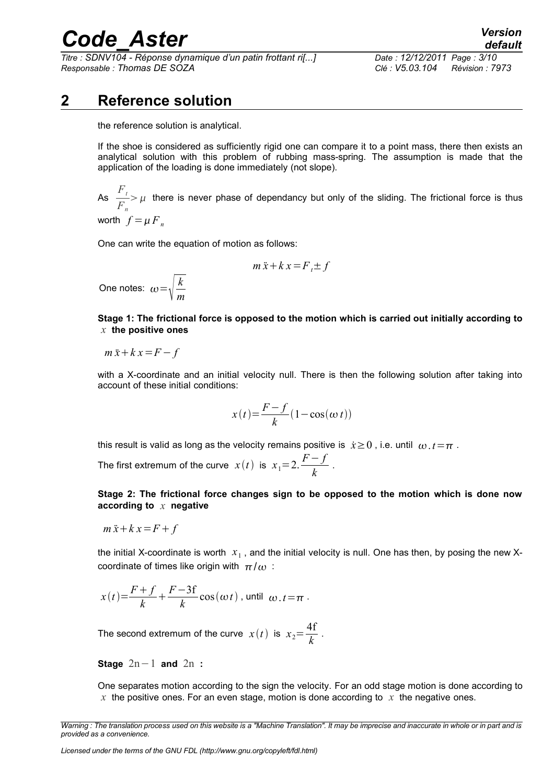*Titre : SDNV104 - Réponse dynamique d'un patin frottant ri[...] Date : 12/12/2011 Page : 3/10 Responsable : Thomas DE SOZA Clé : V5.03.104 Révision : 7973*

## **2 Reference solution**

the reference solution is analytical.

If the shoe is considered as sufficiently rigid one can compare it to a point mass, there then exists an analytical solution with this problem of rubbing mass-spring. The assumption is made that the application of the loading is done immediately (not slope).

As  $\frac{F_t}{F_t}$ *Fn*  $t > \mu$  there is never phase of dependancy but only of the sliding. The frictional force is thus

worth  $f = \mu F$ <sup>n</sup>

One can write the equation of motion as follows:

$$
m\ddot{x} + k\,x = F_t \pm f
$$

One notes:  $\omega = \sqrt{\frac{k}{m}}$ *m*

**Stage 1: The frictional force is opposed to the motion which is carried out initially according to** *x* **the positive ones**

$$
m\ddot{x} + k\,x = F - f
$$

with a X-coordinate and an initial velocity null. There is then the following solution after taking into account of these initial conditions:

$$
x(t) = \frac{F - f}{k} (1 - \cos(\omega t))
$$

this result is valid as long as the velocity remains positive is  $\dot{x} \ge 0$ , i.e. until  $\omega t = \pi$ .

The first extremum of the curve  $x(t)$  is  $x_1=2.\frac{F-f}{k}$ .

#### **Stage 2: The frictional force changes sign to be opposed to the motion which is done now according to** *x* **negative**

 $m\ddot{x} + kx = F + f$ 

the initial X-coordinate is worth  $\|x_1\|$ , and the initial velocity is null. One has then, by posing the new Xcoordinate of times like origin with  $\pi / \omega$ :

$$
x(t) = \frac{F+f}{k} + \frac{F-3f}{k}\cos(\omega t)
$$
, until  $\omega \cdot t = \pi$ .

The second extremum of the curve  $x(t)$  is  $x_2 = \frac{4f}{t}$  $\frac{1}{k}$ .

**Stage** 2n−1 **and** 2n **:**

One separates motion according to the sign the velocity. For an odd stage motion is done according to  $x$  the positive ones. For an even stage, motion is done according to  $x$  the negative ones.

*Warning : The translation process used on this website is a "Machine Translation". It may be imprecise and inaccurate in whole or in part and is provided as a convenience.*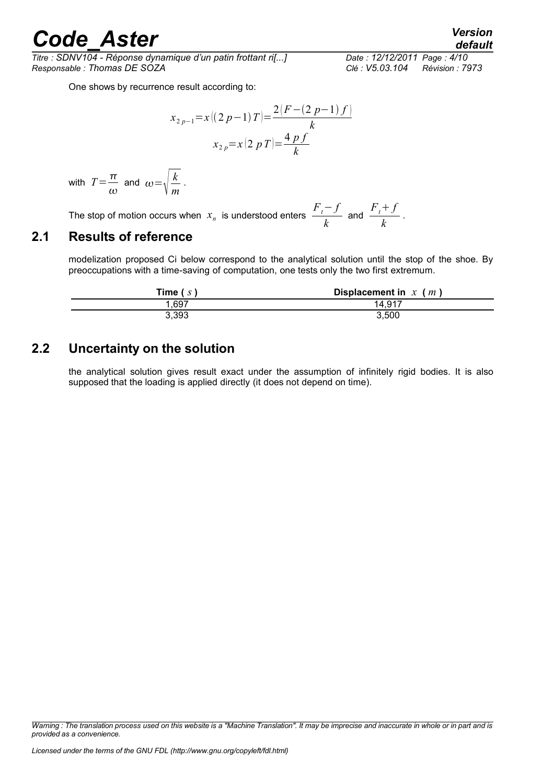*Titre : SDNV104 - Réponse dynamique d'un patin frottant ri[...] Date : 12/12/2011 Page : 4/10 Responsable : Thomas DE SOZA Clé : V5.03.104 Révision : 7973*

 $\frac{y}{k}$ .

One shows by recurrence result according to:

$$
x_{2p-1} = x \left( (2p-1)T \right) = \frac{2\left(F - (2p-1) f\right)}{k}
$$

$$
x_{2p} = x \left(2 p T\right) = \frac{4 p f}{k}
$$

with 
$$
T = \frac{\pi}{\omega}
$$
 and  $\omega = \sqrt{\frac{k}{m}}$ .

The stop of motion occurs when  $x_n$  is understood enters  $\frac{F_t - f}{f_t}$  $\frac{-f}{k}$  and  $\frac{F_t + f}{k}$ 

### **2.1 Results of reference**

modelization proposed Ci below correspond to the analytical solution until the stop of the shoe. By preoccupations with a time-saving of computation, one tests only the two first extremum.

| Time (<br>ι σ | Displacement in $x$ ( <i>m</i> ) |
|---------------|----------------------------------|
| .697          | 14,917                           |
| 3,393         | 3,500                            |

#### **2.2 Uncertainty on the solution**

the analytical solution gives result exact under the assumption of infinitely rigid bodies. It is also supposed that the loading is applied directly (it does not depend on time).

*default*

*Warning : The translation process used on this website is a "Machine Translation". It may be imprecise and inaccurate in whole or in part and is provided as a convenience.*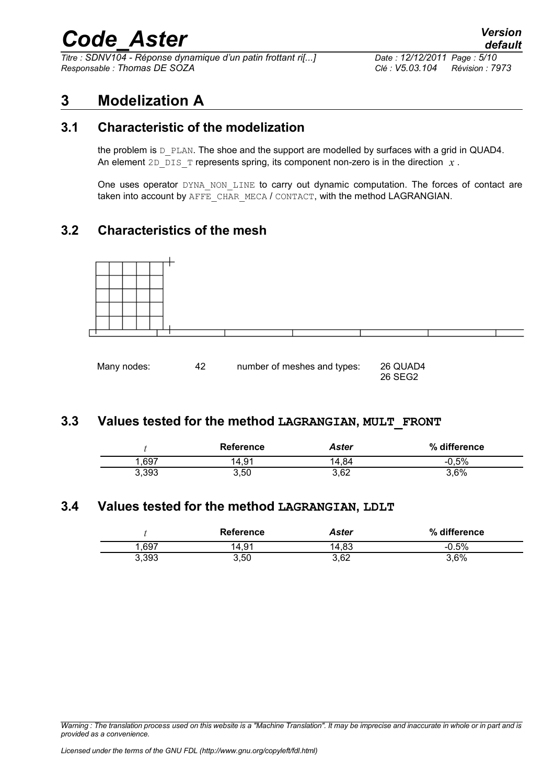*Titre : SDNV104 - Réponse dynamique d'un patin frottant ri[...] Date : 12/12/2011 Page : 5/10 Responsable : Thomas DE SOZA Clé : V5.03.104 Révision : 7973*

*default*

## **3 Modelization A**

## **3.1 Characteristic of the modelization**

the problem is  $D$  PLAN. The shoe and the support are modelled by surfaces with a grid in QUAD4. An element  $2D$  DIS T represents spring, its component non-zero is in the direction  $\chi$ .

One uses operator DYNA\_NON\_LINE to carry out dynamic computation. The forces of contact are taken into account by AFFE\_CHAR\_MECA / CONTACT, with the method LAGRANGIAN.

## **3.2 Characteristics of the mesh**



| Many nodes: | 42 | number of meshes and types: | 26 QUAD4 |
|-------------|----|-----------------------------|----------|
|             |    |                             | 26 SEG2  |

#### **3.3 Values tested for the method LAGRANGIAN, MULT\_FRONT**

|       | <b>Reference</b> | Aster | % difference |
|-------|------------------|-------|--------------|
| .697  | 14,91            | 14.84 | .5%          |
| 3,393 | 3,50             | 3,62  | 3,6%         |

#### **3.4 Values tested for the method LAGRANGIAN, LDLT**

|       | <b>Reference</b> | Aster         | % difference |
|-------|------------------|---------------|--------------|
| .697  | 14.91            | بم 4.<br>4.OJ | 0.5%<br>--   |
| 3,393 | 3,50             | 3,62          | 3,6%         |

*Warning : The translation process used on this website is a "Machine Translation". It may be imprecise and inaccurate in whole or in part and is provided as a convenience.*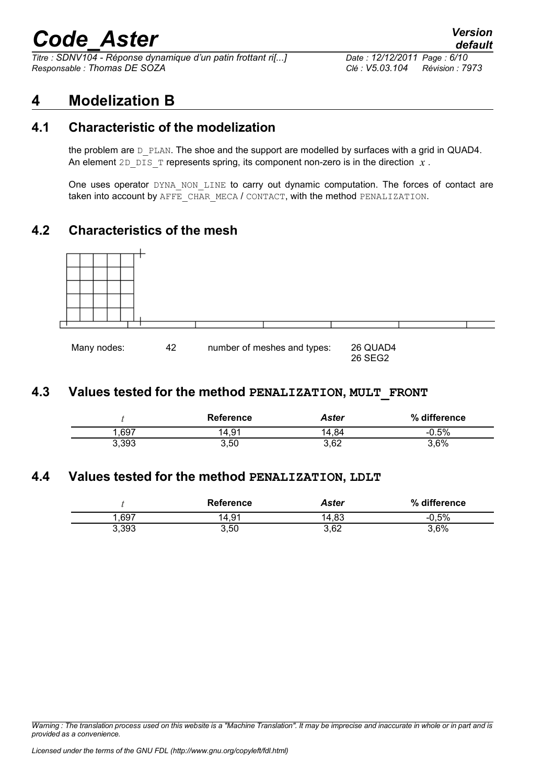*Titre : SDNV104 - Réponse dynamique d'un patin frottant ri[...] Date : 12/12/2011 Page : 6/10 Responsable : Thomas DE SOZA Clé : V5.03.104 Révision : 7973*

## **4 Modelization B**

### **4.1 Characteristic of the modelization**

the problem are  $D$  PLAN. The shoe and the support are modelled by surfaces with a grid in QUAD4. An element 2D DIS T represents spring, its component non-zero is in the direction  $\chi$ .

One uses operator DYNA\_NON\_LINE to carry out dynamic computation. The forces of contact are taken into account by AFFE\_CHAR\_MECA / CONTACT, with the method PENALIZATION.

## **4.2 Characteristics of the mesh**



#### **4.3 Values tested for the method PENALIZATION, MULT\_FRONT**

|       | <b>Reference</b> | <b>Aster</b> | % difference |
|-------|------------------|--------------|--------------|
| 1,697 | 14,91            | 14.84        | $-0.5%$      |
| 3,393 | 3,50             | 3,62         | 3,6%         |

#### **4.4 Values tested for the method PENALIZATION, LDLT**

|       | <b>Reference</b> | Aster | % difference |
|-------|------------------|-------|--------------|
| .697  | 14.91            | 14.83 | 50%          |
| 3,393 | 3,50             | 3,62  | 3,6%         |

*Warning : The translation process used on this website is a "Machine Translation". It may be imprecise and inaccurate in whole or in part and is provided as a convenience.*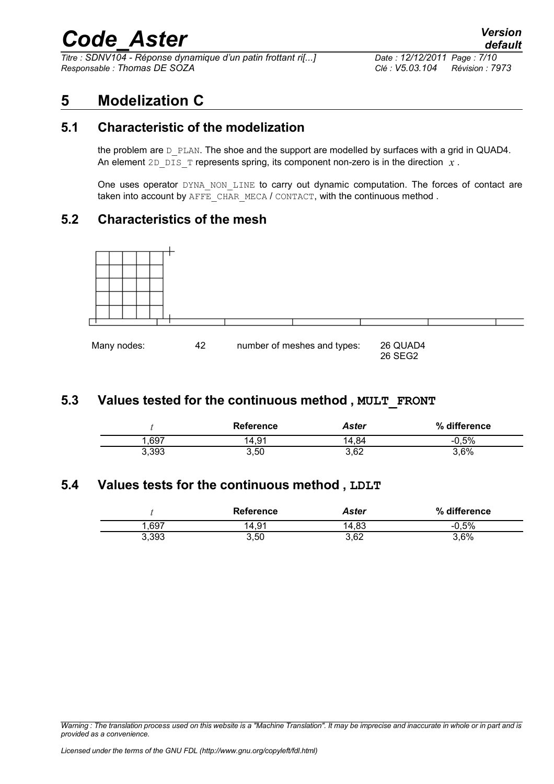*Titre : SDNV104 - Réponse dynamique d'un patin frottant ri[...] Date : 12/12/2011 Page : 7/10 Responsable : Thomas DE SOZA Clé : V5.03.104 Révision : 7973*

*default*

## **5 Modelization C**

### **5.1 Characteristic of the modelization**

the problem are D\_PLAN. The shoe and the support are modelled by surfaces with a grid in QUAD4. An element  $2D$  DIS T represents spring, its component non-zero is in the direction  $\chi$ .

One uses operator DYNA\_NON\_LINE to carry out dynamic computation. The forces of contact are taken into account by  $A \rightarrow E$  CHAR\_MECA / CONTACT, with the continuous method .

## **5.2 Characteristics of the mesh**



#### **5.3 Values tested for the continuous method , MULT\_FRONT**

|       | <b>Reference</b> | Aster    | % difference |
|-------|------------------|----------|--------------|
| .697  | 14.9'            | -84<br>4 | 50%          |
| 3.393 | 3,50             | 3,62     | $3,6\%$      |

### **5.4 Values tests for the continuous method , LDLT**

|       | <b>Reference</b> | Aster | % difference |
|-------|------------------|-------|--------------|
| .697  | 14.9'            | 14.83 | 5%<br>--     |
| 3,393 | 3,50             | 3,62  | 3,6%         |

*Warning : The translation process used on this website is a "Machine Translation". It may be imprecise and inaccurate in whole or in part and is provided as a convenience.*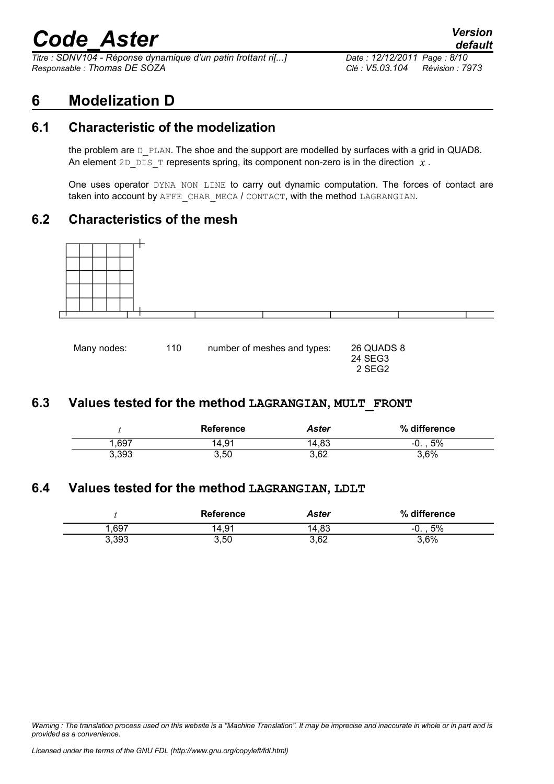*Titre : SDNV104 - Réponse dynamique d'un patin frottant ri[...] Date : 12/12/2011 Page : 8/10 Responsable : Thomas DE SOZA Clé : V5.03.104 Révision : 7973*

## **6 Modelization D**

### **6.1 Characteristic of the modelization**

the problem are  $D$  PLAN. The shoe and the support are modelled by surfaces with a grid in QUAD8. An element 2D DIS T represents spring, its component non-zero is in the direction  $\chi$ .

One uses operator DYNA\_NON\_LINE to carry out dynamic computation. The forces of contact are taken into account by AFFE\_CHAR\_MECA / CONTACT, with the method LAGRANGIAN.

#### **6.2 Characteristics of the mesh**



| Many nodes: | 110 | number of meshes and types: | 26 QUADS 8 |
|-------------|-----|-----------------------------|------------|
|             |     |                             | 24 SEG3    |
|             |     |                             | 2 SEG2     |

## **6.3 Values tested for the method LAGRANGIAN, MULT\_FRONT**

|       | <b>Reference</b> | Aster       | % difference      |
|-------|------------------|-------------|-------------------|
| .697  | Δ                | റാ<br>14.8ა | 5%<br>$\sim$<br>ັ |
| 3,393 | 3,50             | 3,62        | 3,6%              |

### **6.4 Values tested for the method LAGRANGIAN, LDLT**

|       | <b>Reference</b> | Aster | % difference    |
|-------|------------------|-------|-----------------|
| .697  | 14.9'            | 14.83 | <b>⊏0/</b><br>- |
| 3,393 | 3,50             | 3,62  | 3,6%            |

*Warning : The translation process used on this website is a "Machine Translation". It may be imprecise and inaccurate in whole or in part and is provided as a convenience.*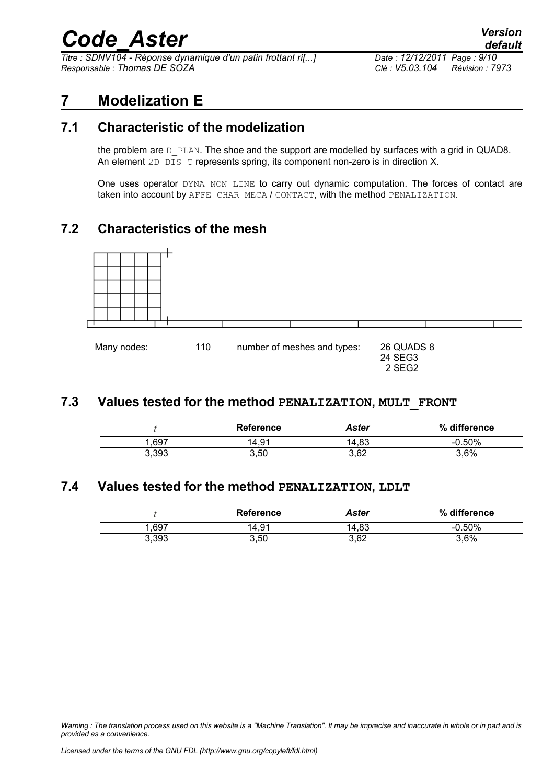*Titre : SDNV104 - Réponse dynamique d'un patin frottant ri[...] Date : 12/12/2011 Page : 9/10 Responsable : Thomas DE SOZA Clé : V5.03.104 Révision : 7973*

*default*

## **7 Modelization E**

## **7.1 Characteristic of the modelization**

the problem are D\_PLAN. The shoe and the support are modelled by surfaces with a grid in QUAD8. An element 2D DIS T represents spring, its component non-zero is in direction X.

One uses operator DYNA NON LINE to carry out dynamic computation. The forces of contact are taken into account by AFFE\_CHAR\_MECA / CONTACT, with the method PENALIZATION.

## **7.2 Characteristics of the mesh**



#### **7.3 Values tested for the method PENALIZATION, MULT\_FRONT**

|       | <b>Reference</b> | <b>Aster</b> | % difference   |
|-------|------------------|--------------|----------------|
| .697  | 4,9'<br>$\Delta$ | 14.83        | $0.50\%$<br>ш. |
| 3,393 | 3,50             | 3,62         | 3,6%           |

#### **7.4 Values tested for the method PENALIZATION, LDLT**

|       | <b>Reference</b> | Aster | % difference  |
|-------|------------------|-------|---------------|
| .697  | 14.91            | 14.83 | .50%<br>$-11$ |
| 3,393 | 3,50             | 3,62  | 3,6%          |

*Warning : The translation process used on this website is a "Machine Translation". It may be imprecise and inaccurate in whole or in part and is provided as a convenience.*